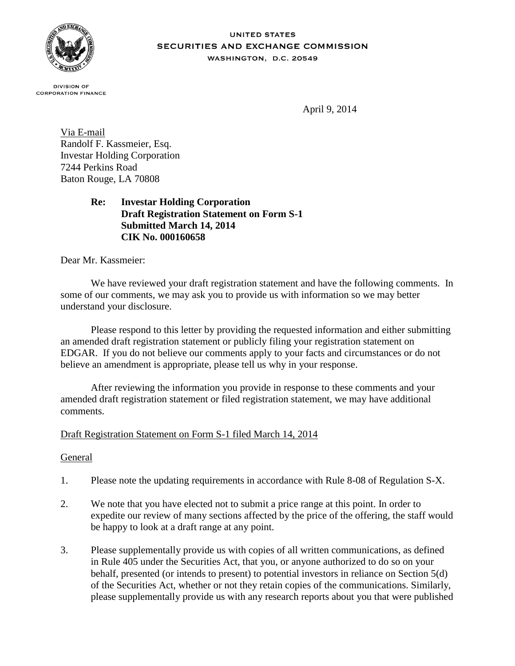

#### **UNITED STATES** SECURITIES AND EXCHANGE COMMISSION WASHINGTON, D.C. 20549

**DIVISION OF CORPORATION FINANCE** 

April 9, 2014

Via E-mail Randolf F. Kassmeier, Esq. Investar Holding Corporation 7244 Perkins Road Baton Rouge, LA 70808

## **Re: Investar Holding Corporation Draft Registration Statement on Form S-1 Submitted March 14, 2014 CIK No. 000160658**

Dear Mr. Kassmeier:

We have reviewed your draft registration statement and have the following comments. In some of our comments, we may ask you to provide us with information so we may better understand your disclosure.

Please respond to this letter by providing the requested information and either submitting an amended draft registration statement or publicly filing your registration statement on EDGAR. If you do not believe our comments apply to your facts and circumstances or do not believe an amendment is appropriate, please tell us why in your response.

After reviewing the information you provide in response to these comments and your amended draft registration statement or filed registration statement, we may have additional comments.

## Draft Registration Statement on Form S-1 filed March 14, 2014

## General

- 1. Please note the updating requirements in accordance with Rule 8-08 of Regulation S-X.
- 2. We note that you have elected not to submit a price range at this point. In order to expedite our review of many sections affected by the price of the offering, the staff would be happy to look at a draft range at any point.
- 3. Please supplementally provide us with copies of all written communications, as defined in Rule 405 under the Securities Act, that you, or anyone authorized to do so on your behalf, presented (or intends to present) to potential investors in reliance on Section 5(d) of the Securities Act, whether or not they retain copies of the communications. Similarly, please supplementally provide us with any research reports about you that were published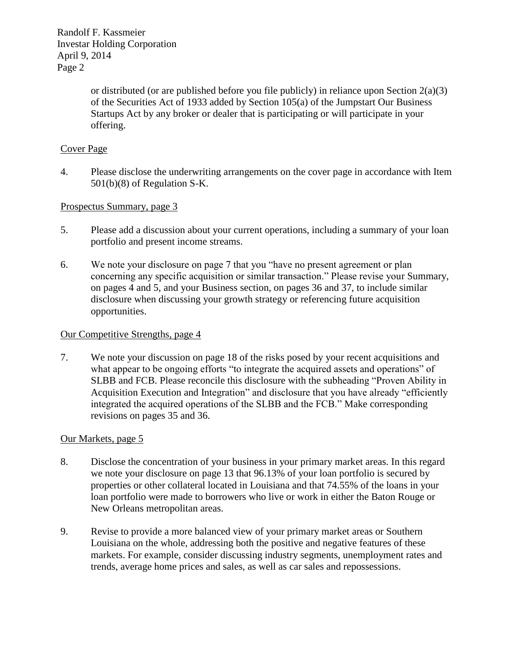> or distributed (or are published before you file publicly) in reliance upon Section  $2(a)(3)$ of the Securities Act of 1933 added by Section 105(a) of the Jumpstart Our Business Startups Act by any broker or dealer that is participating or will participate in your offering.

# Cover Page

4. Please disclose the underwriting arrangements on the cover page in accordance with Item 501(b)(8) of Regulation S-K.

## Prospectus Summary, page 3

- 5. Please add a discussion about your current operations, including a summary of your loan portfolio and present income streams.
- 6. We note your disclosure on page 7 that you "have no present agreement or plan concerning any specific acquisition or similar transaction." Please revise your Summary, on pages 4 and 5, and your Business section, on pages 36 and 37, to include similar disclosure when discussing your growth strategy or referencing future acquisition opportunities.

#### Our Competitive Strengths, page 4

7. We note your discussion on page 18 of the risks posed by your recent acquisitions and what appear to be ongoing efforts "to integrate the acquired assets and operations" of SLBB and FCB. Please reconcile this disclosure with the subheading "Proven Ability in Acquisition Execution and Integration" and disclosure that you have already "efficiently integrated the acquired operations of the SLBB and the FCB." Make corresponding revisions on pages 35 and 36.

### Our Markets, page 5

- 8. Disclose the concentration of your business in your primary market areas. In this regard we note your disclosure on page 13 that 96.13% of your loan portfolio is secured by properties or other collateral located in Louisiana and that 74.55% of the loans in your loan portfolio were made to borrowers who live or work in either the Baton Rouge or New Orleans metropolitan areas.
- 9. Revise to provide a more balanced view of your primary market areas or Southern Louisiana on the whole, addressing both the positive and negative features of these markets. For example, consider discussing industry segments, unemployment rates and trends, average home prices and sales, as well as car sales and repossessions.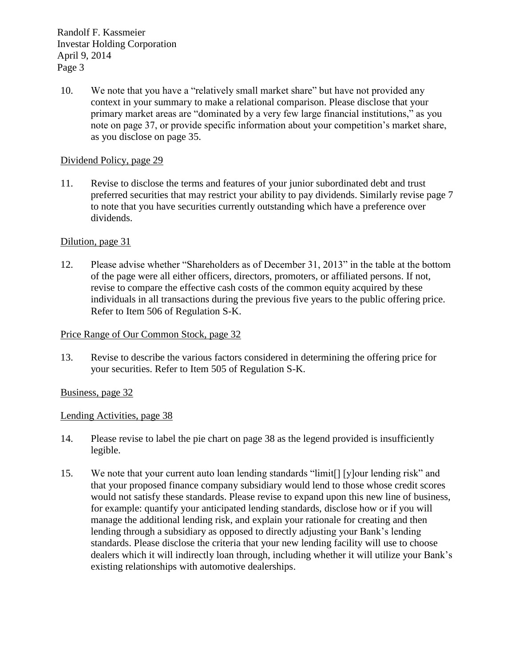10. We note that you have a "relatively small market share" but have not provided any context in your summary to make a relational comparison. Please disclose that your primary market areas are "dominated by a very few large financial institutions," as you note on page 37, or provide specific information about your competition's market share, as you disclose on page 35.

### Dividend Policy, page 29

11. Revise to disclose the terms and features of your junior subordinated debt and trust preferred securities that may restrict your ability to pay dividends. Similarly revise page 7 to note that you have securities currently outstanding which have a preference over dividends.

### Dilution, page 31

12. Please advise whether "Shareholders as of December 31, 2013" in the table at the bottom of the page were all either officers, directors, promoters, or affiliated persons. If not, revise to compare the effective cash costs of the common equity acquired by these individuals in all transactions during the previous five years to the public offering price. Refer to Item 506 of Regulation S-K.

#### Price Range of Our Common Stock, page 32

13. Revise to describe the various factors considered in determining the offering price for your securities. Refer to Item 505 of Regulation S-K.

### Business, page 32

### Lending Activities, page 38

- 14. Please revise to label the pie chart on page 38 as the legend provided is insufficiently legible.
- 15. We note that your current auto loan lending standards "limit[] [y]our lending risk" and that your proposed finance company subsidiary would lend to those whose credit scores would not satisfy these standards. Please revise to expand upon this new line of business, for example: quantify your anticipated lending standards, disclose how or if you will manage the additional lending risk, and explain your rationale for creating and then lending through a subsidiary as opposed to directly adjusting your Bank's lending standards. Please disclose the criteria that your new lending facility will use to choose dealers which it will indirectly loan through, including whether it will utilize your Bank's existing relationships with automotive dealerships.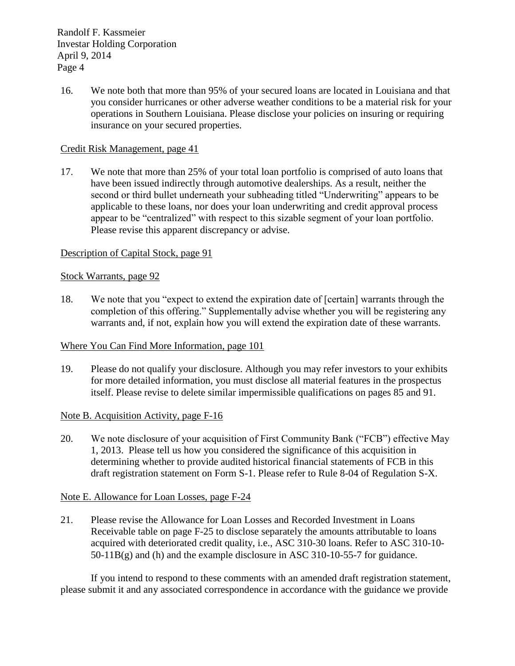16. We note both that more than 95% of your secured loans are located in Louisiana and that you consider hurricanes or other adverse weather conditions to be a material risk for your operations in Southern Louisiana. Please disclose your policies on insuring or requiring insurance on your secured properties.

### Credit Risk Management, page 41

17. We note that more than 25% of your total loan portfolio is comprised of auto loans that have been issued indirectly through automotive dealerships. As a result, neither the second or third bullet underneath your subheading titled "Underwriting" appears to be applicable to these loans, nor does your loan underwriting and credit approval process appear to be "centralized" with respect to this sizable segment of your loan portfolio. Please revise this apparent discrepancy or advise.

### Description of Capital Stock, page 91

### Stock Warrants, page 92

18. We note that you "expect to extend the expiration date of [certain] warrants through the completion of this offering." Supplementally advise whether you will be registering any warrants and, if not, explain how you will extend the expiration date of these warrants.

### Where You Can Find More Information, page 101

19. Please do not qualify your disclosure. Although you may refer investors to your exhibits for more detailed information, you must disclose all material features in the prospectus itself. Please revise to delete similar impermissible qualifications on pages 85 and 91.

## Note B. Acquisition Activity, page F-16

20. We note disclosure of your acquisition of First Community Bank ("FCB") effective May 1, 2013. Please tell us how you considered the significance of this acquisition in determining whether to provide audited historical financial statements of FCB in this draft registration statement on Form S-1. Please refer to Rule 8-04 of Regulation S-X.

### Note E. Allowance for Loan Losses, page F-24

21. Please revise the Allowance for Loan Losses and Recorded Investment in Loans Receivable table on page F-25 to disclose separately the amounts attributable to loans acquired with deteriorated credit quality, i.e., ASC 310-30 loans. Refer to ASC 310-10- 50-11B(g) and (h) and the example disclosure in ASC 310-10-55-7 for guidance.

If you intend to respond to these comments with an amended draft registration statement, please submit it and any associated correspondence in accordance with the guidance we provide